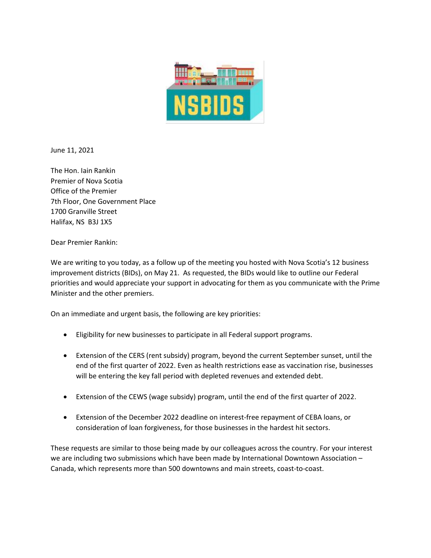

June 11, 2021

The Hon. Iain Rankin Premier of Nova Scotia Office of the Premier 7th Floor, One Government Place 1700 Granville Street Halifax, NS B3J 1X5

Dear Premier Rankin:

We are writing to you today, as a follow up of the meeting you hosted with Nova Scotia's 12 business improvement districts (BIDs), on May 21. As requested, the BIDs would like to outline our Federal priorities and would appreciate your support in advocating for them as you communicate with the Prime Minister and the other premiers.

On an immediate and urgent basis, the following are key priorities:

- Eligibility for new businesses to participate in all Federal support programs.
- Extension of the CERS (rent subsidy) program, beyond the current September sunset, until the end of the first quarter of 2022. Even as health restrictions ease as vaccination rise, businesses will be entering the key fall period with depleted revenues and extended debt.
- Extension of the CEWS (wage subsidy) program, until the end of the first quarter of 2022.
- Extension of the December 2022 deadline on interest-free repayment of CEBA loans, or consideration of loan forgiveness, for those businesses in the hardest hit sectors.

These requests are similar to those being made by our colleagues across the country. For your interest we are including two submissions which have been made by International Downtown Association -Canada, which represents more than 500 downtowns and main streets, coast-to-coast.